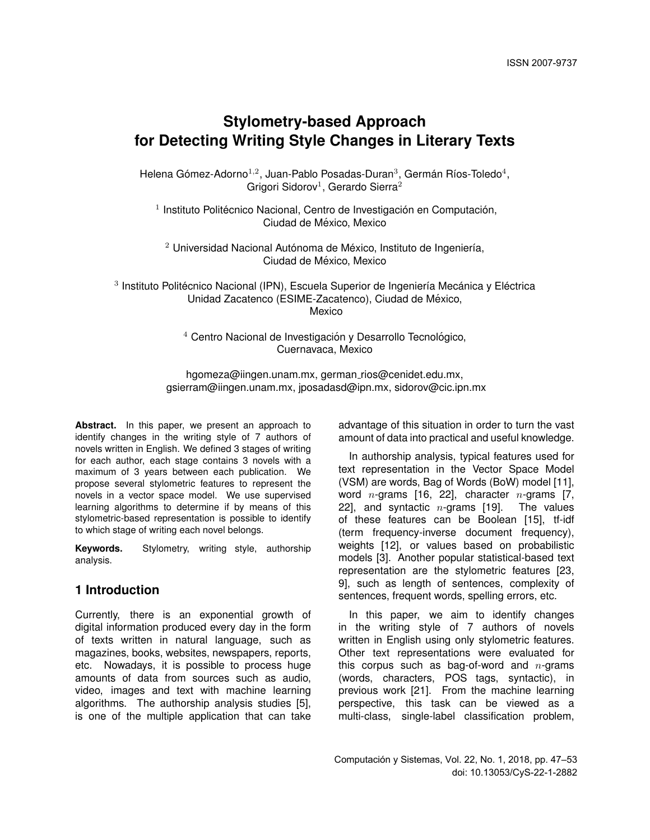# **Stylometry-based Approach for Detecting Writing Style Changes in Literary Texts**

Helena Gómez-Adorno $^{1,2}$ , Juan-Pablo Posadas-Duran $^3$ , Germán Ríos-Toledo $^4,$ Grigori Sidorov<sup>1</sup>, Gerardo Sierra<sup>2</sup>

 $<sup>1</sup>$  Instituto Politécnico Nacional, Centro de Investigación en Computación,</sup> Ciudad de México, Mexico

 $2$  Universidad Nacional Autónoma de México, Instituto de Ingeniería, Ciudad de México, Mexico

 $3$  Instituto Politécnico Nacional (IPN), Escuela Superior de Ingeniería Mecánica y Eléctrica Unidad Zacatenco (ESIME-Zacatenco), Ciudad de México, Mexico

> $4$  Centro Nacional de Investigación y Desarrollo Tecnológico, Cuernavaca, Mexico

hgomeza@iingen.unam.mx, german\_rios@cenidet.edu.mx, gsierram@iingen.unam.mx, jposadasd@ipn.mx, sidorov@cic.ipn.mx

Abstract. In this paper, we present an approach to identify changes in the writing style of 7 authors of novels written in English. We defined 3 stages of writing for each author, each stage contains 3 novels with a maximum of 3 years between each publication. We propose several stylometric features to represent the novels in a vector space model. We use supervised learning algorithms to determine if by means of this stylometric-based representation is possible to identify to which stage of writing each novel belongs.

**Keywords.** Stylometry, writing style, authorship analysis.

# **1 Introduction**

Currently, there is an exponential growth of digital information produced every day in the form of texts written in natural language, such as magazines, books, websites, newspapers, reports, etc. Nowadays, it is possible to process huge amounts of data from sources such as audio, video, images and text with machine learning algorithms. The authorship analysis studies [5], is one of the multiple application that can take

advantage of this situation in order to turn the vast amount of data into practical and useful knowledge.

In authorship analysis, typical features used for text representation in the Vector Space Model (VSM) are words, Bag of Words (BoW) model [11], word *n*-grams [16, 22], character *n*-grams [7, 22], and syntactic  $n$ -grams [19]. The values of these features can be Boolean [15], tf-idf (term frequency-inverse document frequency), weights [12], or values based on probabilistic models [3]. Another popular statistical-based text representation are the stylometric features [23, 9], such as length of sentences, complexity of sentences, frequent words, spelling errors, etc.

In this paper, we aim to identify changes in the writing style of 7 authors of novels written in English using only stylometric features. Other text representations were evaluated for this corpus such as bag-of-word and  $n$ -grams (words, characters, POS tags, syntactic), in previous work [21]. From the machine learning perspective, this task can be viewed as a multi-class, single-label classification problem,

Computación y Sistemas, Vol. 22, No. 1, 2018, pp. 47–53 doi: 10.13053/CyS-22-1-2882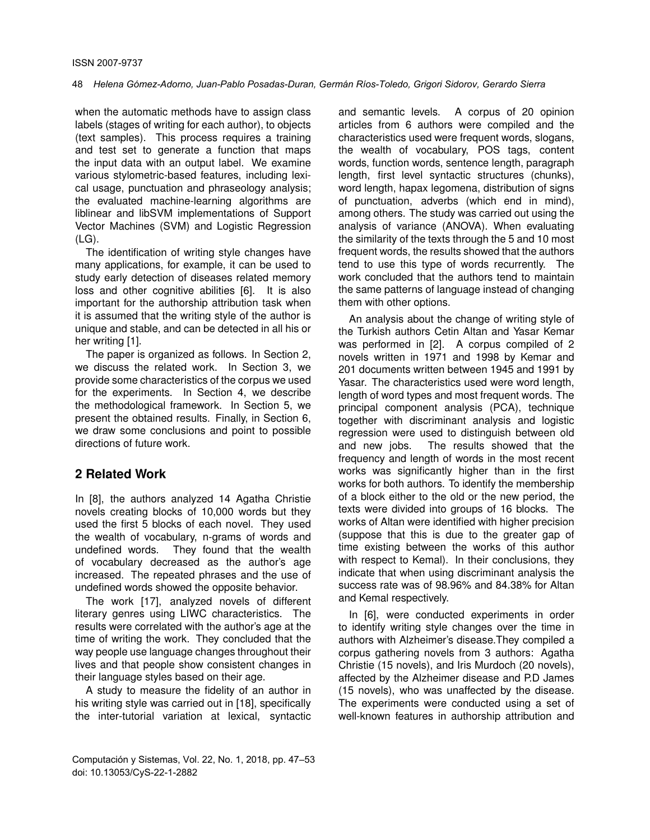when the automatic methods have to assign class labels (stages of writing for each author), to objects (text samples). This process requires a training and test set to generate a function that maps the input data with an output label. We examine various stylometric-based features, including lexical usage, punctuation and phraseology analysis; the evaluated machine-learning algorithms are liblinear and libSVM implementations of Support Vector Machines (SVM) and Logistic Regression (LG).

The identification of writing style changes have many applications, for example, it can be used to study early detection of diseases related memory loss and other cognitive abilities [6]. It is also important for the authorship attribution task when it is assumed that the writing style of the author is unique and stable, and can be detected in all his or her writing [1].

The paper is organized as follows. In Section 2, we discuss the related work. In Section 3, we provide some characteristics of the corpus we used for the experiments. In Section 4, we describe the methodological framework. In Section 5, we present the obtained results. Finally, in Section 6, we draw some conclusions and point to possible directions of future work.

# **2 Related Work**

In [8], the authors analyzed 14 Agatha Christie novels creating blocks of 10,000 words but they used the first 5 blocks of each novel. They used the wealth of vocabulary, n-grams of words and undefined words. They found that the wealth of vocabulary decreased as the author's age increased. The repeated phrases and the use of undefined words showed the opposite behavior.

The work [17], analyzed novels of different literary genres using LIWC characteristics. The results were correlated with the author's age at the time of writing the work. They concluded that the way people use language changes throughout their lives and that people show consistent changes in their language styles based on their age.

A study to measure the fidelity of an author in his writing style was carried out in [18], specifically the inter-tutorial variation at lexical, syntactic

and semantic levels. A corpus of 20 opinion articles from 6 authors were compiled and the characteristics used were frequent words, slogans, the wealth of vocabulary, POS tags, content words, function words, sentence length, paragraph length, first level syntactic structures (chunks), word length, hapax legomena, distribution of signs of punctuation, adverbs (which end in mind), among others. The study was carried out using the analysis of variance (ANOVA). When evaluating the similarity of the texts through the 5 and 10 most frequent words, the results showed that the authors tend to use this type of words recurrently. The work concluded that the authors tend to maintain the same patterns of language instead of changing them with other options.

An analysis about the change of writing style of the Turkish authors Cetin Altan and Yasar Kemar was performed in [2]. A corpus compiled of 2 novels written in 1971 and 1998 by Kemar and 201 documents written between 1945 and 1991 by Yasar. The characteristics used were word length, length of word types and most frequent words. The principal component analysis (PCA), technique together with discriminant analysis and logistic regression were used to distinguish between old and new jobs. The results showed that the frequency and length of words in the most recent works was significantly higher than in the first works for both authors. To identify the membership of a block either to the old or the new period, the texts were divided into groups of 16 blocks. The works of Altan were identified with higher precision (suppose that this is due to the greater gap of time existing between the works of this author with respect to Kemal). In their conclusions, they indicate that when using discriminant analysis the success rate was of 98.96% and 84.38% for Altan and Kemal respectively.

In [6], were conducted experiments in order to identify writing style changes over the time in authors with Alzheimer's disease.They compiled a corpus gathering novels from 3 authors: Agatha Christie (15 novels), and Iris Murdoch (20 novels), affected by the Alzheimer disease and P.D James (15 novels), who was unaffected by the disease. The experiments were conducted using a set of well-known features in authorship attribution and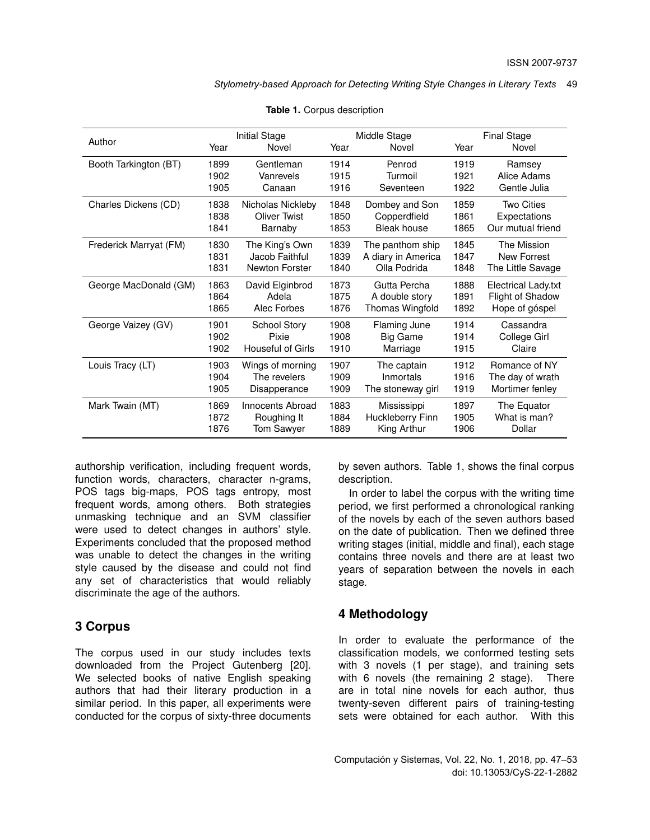*Stylometry-based Approach for Detecting Writing Style Changes in Literary Texts* 49

| Author                 | Initial Stage               |                   |               | Middle Stage       | <b>Final Stage</b> |                     |  |
|------------------------|-----------------------------|-------------------|---------------|--------------------|--------------------|---------------------|--|
|                        | Year                        | Novel             | Year<br>Novel |                    | Year               | Novel               |  |
| Booth Tarkington (BT)  | 1899                        | Gentleman         | 1914          | Penrod             | 1919               | Ramsey              |  |
|                        | 1902                        | Vanrevels         | 1915          | Turmoil            | 1921               | Alice Adams         |  |
|                        | 1905                        | Canaan            | 1916          | Seventeen          | 1922               | Gentle Julia        |  |
| Charles Dickens (CD)   | 1838                        | Nicholas Nickleby | 1848          | Dombey and Son     | 1859               | <b>Two Cities</b>   |  |
|                        | 1838                        | Oliver Twist      | 1850          | Copperdfield       | 1861               | Expectations        |  |
|                        | 1841                        | Barnaby           | 1853          | Bleak house        | 1865               | Our mutual friend   |  |
| Frederick Marryat (FM) | 1830                        | The King's Own    | 1839          | The panthom ship   | 1845               | The Mission         |  |
|                        | 1831                        | Jacob Faithful    | 1839          | A diary in America | 1847               | New Forrest         |  |
|                        | 1831                        | Newton Forster    | 1840          | Olla Podrida       | 1848               | The Little Savage   |  |
| George MacDonald (GM)  | 1863                        | David Elginbrod   | 1873          | Gutta Percha       | 1888               | Electrical Lady.txt |  |
|                        | 1864                        | Adela             | 1875          | A double story     | 1891               | Flight of Shadow    |  |
|                        | 1865                        | Alec Forbes       | 1876          | Thomas Wingfold    | 1892               | Hope of góspel      |  |
| George Vaizey (GV)     | 1901<br><b>School Story</b> |                   | 1908          | Flaming June       | 1914               | Cassandra           |  |
|                        | 1902<br>Pixie               |                   | 1908          | <b>Big Game</b>    | 1914               | College Girl        |  |
|                        | 1902                        | Houseful of Girls | 1910          | Marriage           | 1915               | Claire              |  |
| Louis Tracy (LT)       | Wings of morning<br>1903    |                   | 1907          | The captain        | 1912               | Romance of NY       |  |
|                        | 1904                        | The revelers      | 1909          | Inmortals          | 1916               | The day of wrath    |  |
|                        | 1905                        | Disapperance      | 1909          | The stoneway girl  | 1919               | Mortimer fenley     |  |
| Mark Twain (MT)        | 1869<br>Innocents Abroad    |                   | 1883          | Mississippi        | 1897               | The Equator         |  |
|                        | 1872                        | Roughing It       | 1884          | Huckleberry Finn   | 1905               | What is man?        |  |
|                        | 1876                        | Tom Sawyer        | 1889          | King Arthur        | 1906               | Dollar              |  |

**Table 1.** Corpus description

authorship verification, including frequent words, function words, characters, character n-grams, POS tags big-maps, POS tags entropy, most frequent words, among others. Both strategies unmasking technique and an SVM classifier were used to detect changes in authors' style. Experiments concluded that the proposed method was unable to detect the changes in the writing style caused by the disease and could not find any set of characteristics that would reliably discriminate the age of the authors.

## **3 Corpus**

The corpus used in our study includes texts downloaded from the Project Gutenberg [20]. We selected books of native English speaking authors that had their literary production in a similar period. In this paper, all experiments were conducted for the corpus of sixty-three documents

by seven authors. Table 1, shows the final corpus description.

In order to label the corpus with the writing time period, we first performed a chronological ranking of the novels by each of the seven authors based on the date of publication. Then we defined three writing stages (initial, middle and final), each stage contains three novels and there are at least two years of separation between the novels in each stage.

### **4 Methodology**

In order to evaluate the performance of the classification models, we conformed testing sets with 3 novels (1 per stage), and training sets with 6 novels (the remaining 2 stage). There are in total nine novels for each author, thus twenty-seven different pairs of training-testing sets were obtained for each author. With this

Computación y Sistemas, Vol. 22, No. 1, 2018, pp. 47–53 doi: 10.13053/CyS-22-1-2882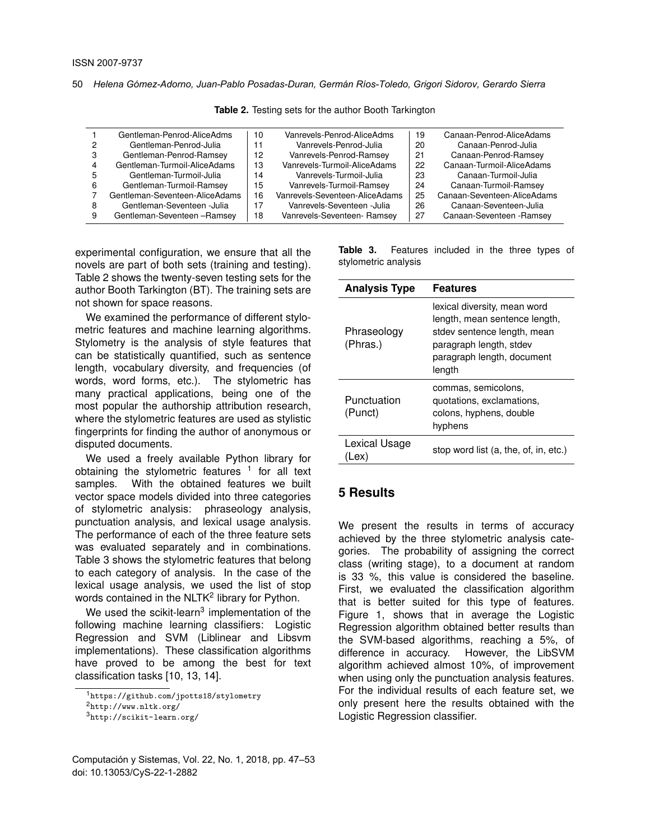50 *Helena Gómez-Adorno, Juan-Pablo Posadas-Duran, Germán Ríos-Toledo, Grigori Sidorov, Gerardo Sierra*

|   | Gentleman-Penrod-AliceAdms     | 10 | Vanrevels-Penrod-AliceAdms     | 19 | Canaan-Penrod-AliceAdams    |
|---|--------------------------------|----|--------------------------------|----|-----------------------------|
| 2 | Gentleman-Penrod-Julia         | 11 | Vanrevels-Penrod-Julia         | 20 | Canaan-Penrod-Julia         |
| 3 | Gentleman-Penrod-Ramsey        | 12 | Vanrevels-Penrod-Ramsey        | 21 | Canaan-Penrod-Ramsey        |
| 4 | Gentleman-Turmoil-AliceAdams   | 13 | Vanrevels-Turmoil-AliceAdams   | 22 | Canaan-Turmoil-AliceAdams   |
| 5 | Gentleman-Turmoil-Julia        | 14 | Vanrevels-Turmoil-Julia        | 23 | Canaan-Turmoil-Julia        |
| 6 | Gentleman-Turmoil-Ramsey       | 15 | Vanrevels-Turmoil-Ramsey       | 24 | Canaan-Turmoil-Ramsey       |
|   | Gentleman-Seventeen-AliceAdams | 16 | Vanrevels-Seventeen-AliceAdams | 25 | Canaan-Seventeen-AliceAdams |
| 8 | Gentleman-Seventeen -Julia     | 17 | Vanrevels-Seventeen - Julia    | 26 | Canaan-Seventeen-Julia      |
| 9 | Gentleman-Seventeen - Ramsey   | 18 | Vanrevels-Seventeen- Ramsey    | 27 | Canaan-Seventeen - Ramsey   |

**Table 2.** Testing sets for the author Booth Tarkington

experimental configuration, we ensure that all the novels are part of both sets (training and testing). Table 2 shows the twenty-seven testing sets for the author Booth Tarkington (BT). The training sets are not shown for space reasons.

We examined the performance of different stylometric features and machine learning algorithms. Stylometry is the analysis of style features that can be statistically quantified, such as sentence length, vocabulary diversity, and frequencies (of words, word forms, etc.). The stylometric has many practical applications, being one of the most popular the authorship attribution research, where the stylometric features are used as stylistic fingerprints for finding the author of anonymous or disputed documents.

We used a freely available Python library for obtaining the stylometric features <sup>1</sup> for all text samples. With the obtained features we built vector space models divided into three categories of stylometric analysis: phraseology analysis, punctuation analysis, and lexical usage analysis. The performance of each of the three feature sets was evaluated separately and in combinations. Table 3 shows the stylometric features that belong to each category of analysis. In the case of the lexical usage analysis, we used the list of stop words contained in the NLTK<sup>2</sup> library for Python.

We used the scikit-learn<sup>3</sup> implementation of the following machine learning classifiers: Logistic Regression and SVM (Liblinear and Libsvm implementations). These classification algorithms have proved to be among the best for text classification tasks [10, 13, 14].

<sup>1</sup>https://github.com/jpotts18/stylometry

**Table 3.** Features included in the three types of stylometric analysis

| <b>Analysis Type</b>    | <b>Features</b>                                                                                                                                                 |  |  |  |  |
|-------------------------|-----------------------------------------------------------------------------------------------------------------------------------------------------------------|--|--|--|--|
| Phraseology<br>(Phras.) | lexical diversity, mean word<br>length, mean sentence length,<br>stdev sentence length, mean<br>paragraph length, stdev<br>paragraph length, document<br>length |  |  |  |  |
| Punctuation<br>(Punct)  | commas, semicolons,<br>quotations, exclamations,<br>colons, hyphens, double<br>hyphens                                                                          |  |  |  |  |
| Lexical Usage           | stop word list (a, the, of, in, etc.)                                                                                                                           |  |  |  |  |

## **5 Results**

We present the results in terms of accuracy achieved by the three stylometric analysis categories. The probability of assigning the correct class (writing stage), to a document at random is 33 %, this value is considered the baseline. First, we evaluated the classification algorithm that is better suited for this type of features. Figure 1, shows that in average the Logistic Regression algorithm obtained better results than the SVM-based algorithms, reaching a 5%, of difference in accuracy. However, the LibSVM algorithm achieved almost 10%, of improvement when using only the punctuation analysis features. For the individual results of each feature set, we only present here the results obtained with the Logistic Regression classifier.

<sup>2</sup>http://www.nltk.org/

<sup>3</sup>http://scikit-learn.org/

Computación y Sistemas, Vol. 22, No. 1, 2018, pp. 47–53 doi: 10.13053/CyS-22-1-2882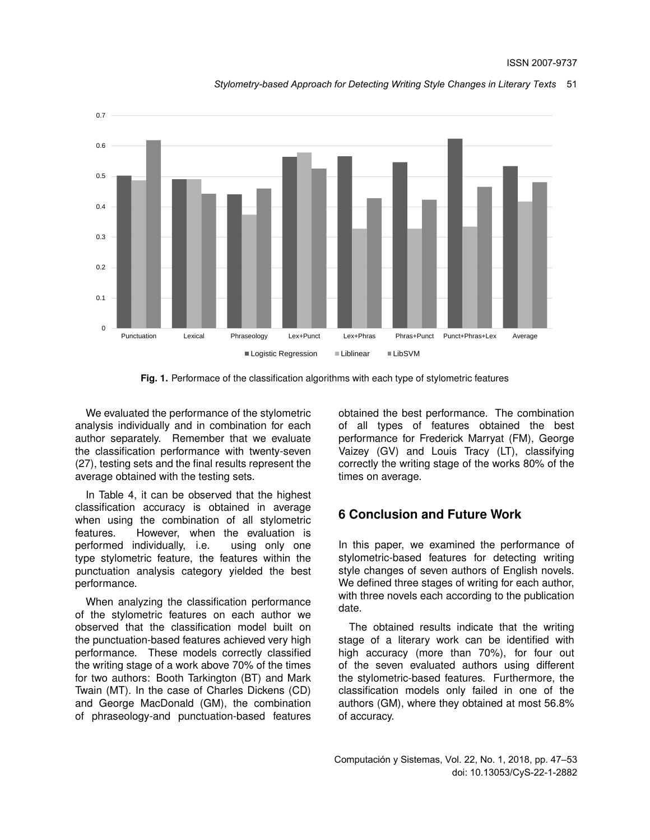

*Stylometry-based Approach for Detecting Writing Style Changes in Literary Texts* 51

**Fig. 1.** Performace of the classification algorithms with each type of stylometric features

We evaluated the performance of the stylometric analysis individually and in combination for each author separately. Remember that we evaluate the classification performance with twenty-seven (27), testing sets and the final results represent the average obtained with the testing sets.

In Table 4, it can be observed that the highest classification accuracy is obtained in average when using the combination of all stylometric features. However, when the evaluation is performed individually, i.e. using only one type stylometric feature, the features within the punctuation analysis category yielded the best performance.

When analyzing the classification performance of the stylometric features on each author we observed that the classification model built on the punctuation-based features achieved very high performance. These models correctly classified the writing stage of a work above 70% of the times for two authors: Booth Tarkington (BT) and Mark Twain (MT). In the case of Charles Dickens (CD) and George MacDonald (GM), the combination of phraseology-and punctuation-based features obtained the best performance. The combination of all types of features obtained the best performance for Frederick Marryat (FM), George Vaizey (GV) and Louis Tracy (LT), classifying correctly the writing stage of the works 80% of the times on average.

# **6 Conclusion and Future Work**

In this paper, we examined the performance of stylometric-based features for detecting writing style changes of seven authors of English novels. We defined three stages of writing for each author, with three novels each according to the publication date.

The obtained results indicate that the writing stage of a literary work can be identified with high accuracy (more than 70%), for four out of the seven evaluated authors using different the stylometric-based features. Furthermore, the classification models only failed in one of the authors (GM), where they obtained at most 56.8% of accuracy.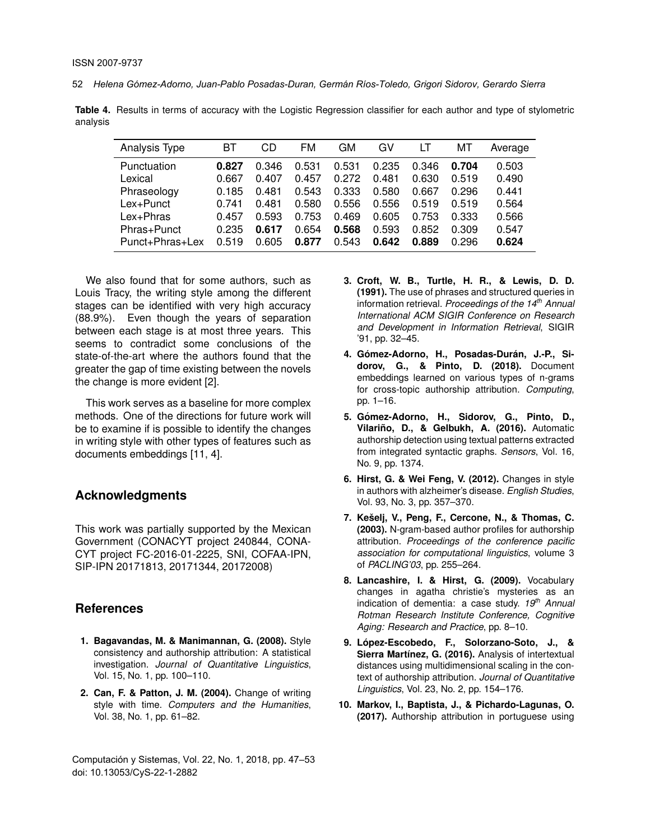52 *Helena Gómez-Adorno, Juan-Pablo Posadas-Duran, Germán Ríos-Toledo, Grigori Sidorov, Gerardo Sierra*

**Table 4.** Results in terms of accuracy with the Logistic Regression classifier for each author and type of stylometric analysis

| Analysis Type   | BТ    | CD    | FM    | GМ    | G٧    | LT    | MТ    | Average |
|-----------------|-------|-------|-------|-------|-------|-------|-------|---------|
| Punctuation     | 0.827 | 0.346 | 0.531 | 0.531 | 0.235 | 0.346 | 0.704 | 0.503   |
| Lexical         | 0.667 | 0.407 | 0.457 | 0.272 | 0.481 | 0.630 | 0.519 | 0.490   |
| Phraseology     | 0.185 | 0.481 | 0.543 | 0.333 | 0.580 | 0.667 | 0.296 | 0.441   |
| Lex+Punct       | 0.741 | 0.481 | 0.580 | 0.556 | 0.556 | 0.519 | 0.519 | 0.564   |
| Lex+Phras       | 0.457 | 0.593 | 0.753 | 0.469 | 0.605 | 0.753 | 0.333 | 0.566   |
| Phras+Punct     | 0.235 | 0.617 | 0.654 | 0.568 | 0.593 | 0.852 | 0.309 | 0.547   |
| Punct+Phras+Lex | 0.519 | 0.605 | 0.877 | 0.543 | 0.642 | 0.889 | 0.296 | 0.624   |

We also found that for some authors, such as Louis Tracy, the writing style among the different stages can be identified with very high accuracy (88.9%). Even though the years of separation between each stage is at most three years. This seems to contradict some conclusions of the state-of-the-art where the authors found that the greater the gap of time existing between the novels the change is more evident [2].

This work serves as a baseline for more complex methods. One of the directions for future work will be to examine if is possible to identify the changes in writing style with other types of features such as documents embeddings [11, 4].

## **Acknowledgments**

This work was partially supported by the Mexican Government (CONACYT project 240844, CONA-CYT project FC-2016-01-2225, SNI, COFAA-IPN, SIP-IPN 20171813, 20171344, 20172008)

# **References**

- **1. Bagavandas, M. & Manimannan, G. (2008).** Style consistency and authorship attribution: A statistical investigation. *Journal of Quantitative Linguistics*, Vol. 15, No. 1, pp. 100–110.
- **2. Can, F. & Patton, J. M. (2004).** Change of writing style with time. *Computers and the Humanities*, Vol. 38, No. 1, pp. 61–82.

Computación y Sistemas, Vol. 22, No. 1, 2018, pp. 47–53 doi: 10.13053/CyS-22-1-2882

- **3. Croft, W. B., Turtle, H. R., & Lewis, D. D. (1991).** The use of phrases and structured queries in information retrieval. *Proceedings of the 14th Annual International ACM SIGIR Conference on Research and Development in Information Retrieval*, SIGIR '91, pp. 32–45.
- 4. Gómez-Adorno, H., Posadas-Durán, J.-P., Si**dorov, G., & Pinto, D. (2018).** Document embeddings learned on various types of n-grams for cross-topic authorship attribution. *Computing*, pp. 1–16.
- **5. Gomez-Adorno, H., Sidorov, G., Pinto, D., ´** Vilariño, D., & Gelbukh, A. (2016). Automatic authorship detection using textual patterns extracted from integrated syntactic graphs. *Sensors*, Vol. 16, No. 9, pp. 1374.
- **6. Hirst, G. & Wei Feng, V. (2012).** Changes in style in authors with alzheimer's disease. *English Studies*, Vol. 93, No. 3, pp. 357–370.
- **7. Keselj, V., Peng, F., Cercone, N., & Thomas, C. ˇ (2003).** N-gram-based author profiles for authorship attribution. *Proceedings of the conference pacific association for computational linguistics*, volume 3 of *PACLING'03*, pp. 255–264.
- **8. Lancashire, I. & Hirst, G. (2009).** Vocabulary changes in agatha christie's mysteries as an indication of dementia: a case study. *19th Annual Rotman Research Institute Conference, Cognitive Aging: Research and Practice*, pp. 8–10.
- **9. Lopez-Escobedo, F., Solorzano-Soto, J., & ´** Sierra Martínez, G. (2016). Analysis of intertextual distances using multidimensional scaling in the context of authorship attribution. *Journal of Quantitative Linguistics*, Vol. 23, No. 2, pp. 154–176.
- **10. Markov, I., Baptista, J., & Pichardo-Lagunas, O. (2017).** Authorship attribution in portuguese using